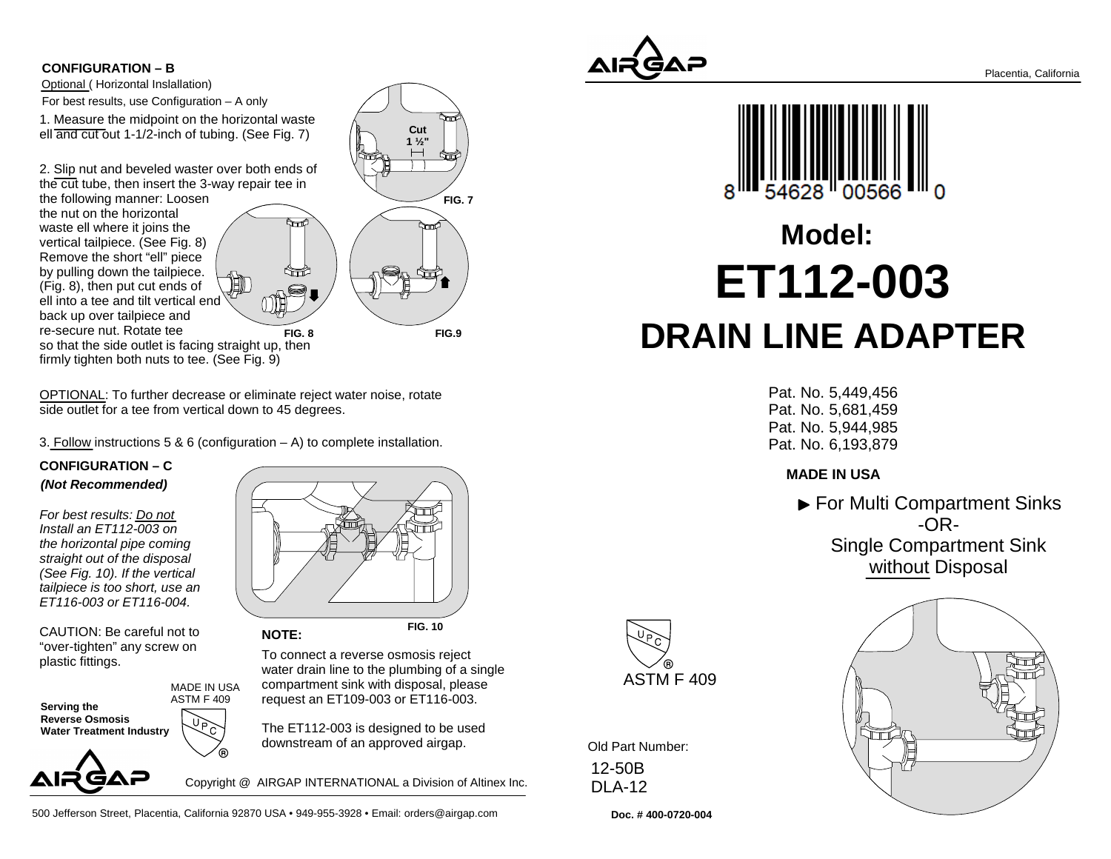#### **CONFIGURATION – B**

Optional ( Horizontal Inslallation)For best results, use Configuration – A only

 1. Measure the midpoint on the horizontal wasteell and cut out 1-1/2-inch of tubing. (See Fig. 7)

2. Slip nut and beveled waster over both ends ofthe cut tube, then insert the 3-way repair tee in

the following manner: Loosenthe nut on the horizontal waste ell where it joins the vertical tailpiece. (See Fig. 8) Remove the short "ell" piece by pulling down the tailpiece. (Fig. 8), then put cut ends of ell into a tee and tilt vertical end back up over tailpiece and re-secure nut. Rotate tee so that the side outlet is facing straight up, thenfirmly tighten both nuts to tee. (See Fig. 9)



OPTIONAL: To further decrease or eliminate reject water noise, rotateside outlet for a tee from vertical down to 45 degrees.

3. Follow instructions 5 & 6 (configuration  $-$  A) to complete installation.

### **CONFIGURATION – C(Not Recommended)**

For best results: Do not Install an ET112-003 on the horizontal pipe coming straight out of the disposal (See Fig. 10). If the vertical tailpiece is too short, use anET116-003 or ET116-004.

CAUTION: Be careful not to "over-tighten" any screw onplastic fittings.

**Serving the Reverse Osmosis Water Treatment Industry**MADE IN USAASTM F 409



**FIG. 10**To connect a reverse osmosis reject water drain line to the plumbing of a singlecompartment sink with disposal, please**NOTE:**

request an ET109-003 or ET116-003.

The ET112-003 is designed to be useddownstream of an approved airgap.

Copyright @ AIRGAP INTERNATIONAL a Division of Altinex Inc.

500 Jefferson Street, Placentia, California 92870 USA • 949-955-3928 • Email: orders@airgap.com





# **ET112-003 DRAIN LINE ADAPTERModel:**

Pat. No. 5,449,456 Pat. No. 5,681,459 Pat. No. 5,944,985Pat. No. 6,193,879

## **MADE IN USA**

▶ For Multi Compartment Sinks -OR-Single Compartment Sinkwithout Disposal



Old Part Number: 12-50BDLA-12

**Doc. # 400-0720-004**